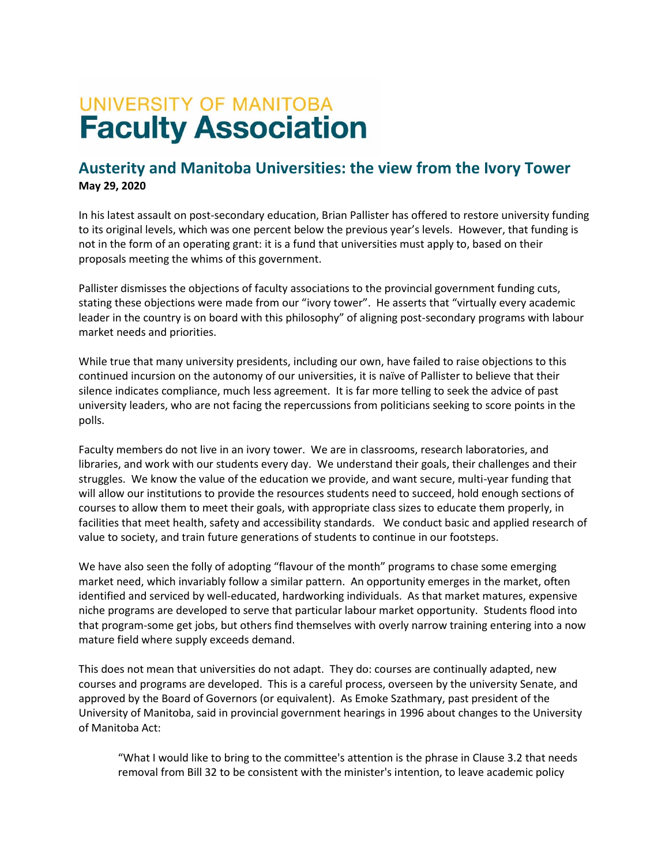# **UNIVERSITY OF MANITOBA Faculty Association**

## **Austerity and Manitoba Universities: the view from the Ivory Tower May 29, 2020**

In his latest assault on post-secondary education, Brian Pallister has offered to restore university funding to its original levels, which was one percent below the previous year's levels. However, that funding is not in the form of an operating grant: it is a fund that universities must apply to, based on their proposals meeting the whims of this government.

Pallister dismisses the objections of faculty associations to the provincial government funding cuts, stating these objections were made from our "ivory tower". He asserts that "virtually every academic leader in the country is on board with this philosophy" of aligning post-secondary programs with labour market needs and priorities.

While true that many university presidents, including our own, have failed to raise objections to this continued incursion on the autonomy of our universities, it is naïve of Pallister to believe that their silence indicates compliance, much less agreement. It is far more telling to seek the advice of past university leaders, who are not facing the repercussions from politicians seeking to score points in the polls.

Faculty members do not live in an ivory tower. We are in classrooms, research laboratories, and libraries, and work with our students every day. We understand their goals, their challenges and their struggles. We know the value of the education we provide, and want secure, multi-year funding that will allow our institutions to provide the resources students need to succeed, hold enough sections of courses to allow them to meet their goals, with appropriate class sizes to educate them properly, in facilities that meet health, safety and accessibility standards. We conduct basic and applied research of value to society, and train future generations of students to continue in our footsteps.

We have also seen the folly of adopting "flavour of the month" programs to chase some emerging market need, which invariably follow a similar pattern. An opportunity emerges in the market, often identified and serviced by well-educated, hardworking individuals. As that market matures, expensive niche programs are developed to serve that particular labour market opportunity. Students flood into that program-some get jobs, but others find themselves with overly narrow training entering into a now mature field where supply exceeds demand.

This does not mean that universities do not adapt. They do: courses are continually adapted, new courses and programs are developed. This is a careful process, overseen by the university Senate, and approved by the Board of Governors (or equivalent). As Emoke Szathmary, past president of the University of Manitoba, said in provincial government hearings in 1996 about changes to the University of Manitoba Act:

"What I would like to bring to the committee's attention is the phrase in Clause 3.2 that needs removal from Bill 32 to be consistent with the minister's intention, to leave academic policy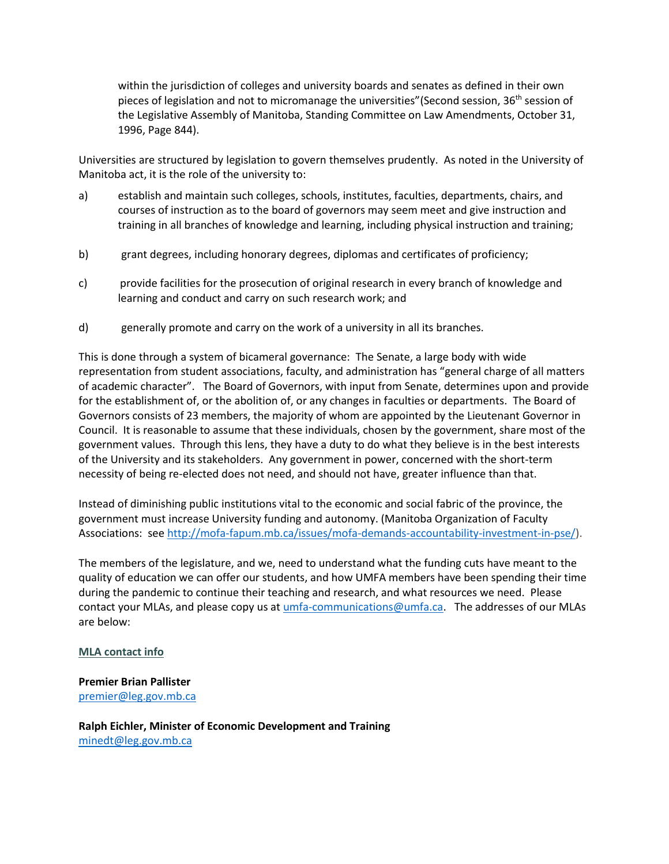within the jurisdiction of colleges and university boards and senates as defined in their own pieces of legislation and not to micromanage the universities" (Second session, 36<sup>th</sup> session of the Legislative Assembly of Manitoba, Standing Committee on Law Amendments, October 31, 1996, Page 844).

Universities are structured by legislation to govern themselves prudently. As noted in the University of Manitoba act, it is the role of the university to:

- a) establish and maintain such colleges, schools, institutes, faculties, departments, chairs, and courses of instruction as to the board of governors may seem meet and give instruction and training in all branches of knowledge and learning, including physical instruction and training;
- b) grant degrees, including honorary degrees, diplomas and certificates of proficiency;
- c) provide facilities for the prosecution of original research in every branch of knowledge and learning and conduct and carry on such research work; and
- d) generally promote and carry on the work of a university in all its branches.

This is done through a system of bicameral governance: The Senate, a large body with wide representation from student associations, faculty, and administration has "general charge of all matters of academic character". The Board of Governors, with input from Senate, determines upon and provide for the establishment of, or the abolition of, or any changes in faculties or departments. The Board of Governors consists of 23 members, the majority of whom are appointed by the Lieutenant Governor in Council. It is reasonable to assume that these individuals, chosen by the government, share most of the government values. Through this lens, they have a duty to do what they believe is in the best interests of the University and its stakeholders. Any government in power, concerned with the short-term necessity of being re-elected does not need, and should not have, greater influence than that.

Instead of diminishing public institutions vital to the economic and social fabric of the province, the government must increase University funding and autonomy. (Manitoba Organization of Faculty Associations: see [http://mofa-fapum.mb.ca/issues/mofa-demands-accountability-investment-in-pse/\)](http://mofa-fapum.mb.ca/issues/mofa-demands-accountability-investment-in-pse/).

The members of the legislature, and we, need to understand what the funding cuts have meant to the quality of education we can offer our students, and how UMFA members have been spending their time during the pandemic to continue their teaching and research, and what resources we need. Please contact your MLAs, and please copy us at [umfa-communications@umfa.ca.](mailto:umfa-communications@umfa.ca) The addresses of our MLAs are below:

#### **MLA contact info**

#### **Premier Brian Pallister**  [premier@leg.gov.mb.ca](mailto:premier@leg.gov.mb.ca)

**Ralph Eichler, Minister of Economic Development and Training**  [minedt@leg.gov.mb.ca](mailto:minedt@leg.gov.mb.ca)